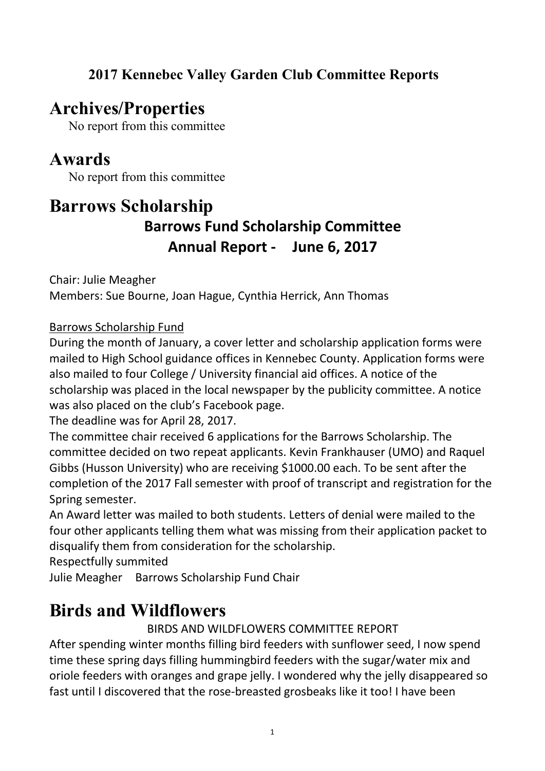#### **2017 Kennebec Valley Garden Club Committee Reports**

### **Archives/Properties**

No report from this committee

# **Awards**

No report from this committee

### **Barrows Scholarship Barrows Fund Scholarship Committee Annual Report - June 6, 2017**

Chair: Julie Meagher Members: Sue Bourne, Joan Hague, Cynthia Herrick, Ann Thomas

Barrows Scholarship Fund

During the month of January, a coverletter and scholarship application forms were mailed to High School guidance offices in Kennebec County. Application forms were also mailed to four College / University financial aid offices. A notice of the scholarship was placed in the local newspaper by the publicity committee. A notice was also placed on the club's Facebook page.

The deadline was for April 28, 2017.

The committee chair received 6 applications for the Barrows Scholarship. The committee decided on two repeat applicants. Kevin Frankhauser (UMO) and Raquel Gibbs (Husson University) who are receiving \$1000.00 each. To be sent after the completion of the 2017 Fall semester with proof of transcript and registration for the Spring semester.

An Award letter was mailed to both students. Letters of denial were mailed to the four other applicants telling them what was missing from their application packet to disqualify them from consideration for the scholarship.

Respectfully summited

Julie Meagher Barrows Scholarship Fund Chair

# **Birds and Wildflowers**

BIRDS AND WILDFLOWERS COMMITTEE REPORT

After spending winter months filling bird feeders with sunflower seed, I now spend time these spring days filling hummingbird feeders with the sugar/water mix and oriole feeders with oranges and grape jelly. I wondered why the jelly disappeared so fast until I discovered that the rose-breasted grosbeaks like it too! I have been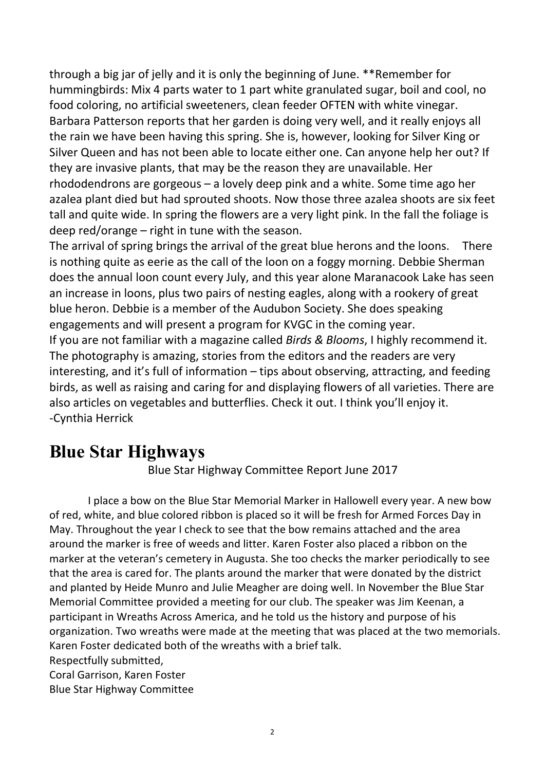through a big jar of jelly and it is only the beginning of June. \*\*Remember for hummingbirds: Mix 4 parts water to 1 part white granulated sugar, boil and cool, no food coloring, no artificial sweeteners, clean feeder OFTEN with white vinegar. Barbara Patterson reports that her garden is doing very well, and it really enjoys all the rain we have been having this spring. She is, however, looking for Silver King or Silver Queen and has not been able to locate either one.Can anyone help her out? If they are invasive plants, that may be the reason they are unavailable. Her rhododendrons are gorgeous – a lovely deep pink and a white. Some time ago her azalea plant died but had sprouted shoots. Now those three azalea shoots are six feet tall and quite wide. In spring the flowers are a very light pink. In the fall the foliage is deep red/orange – right in tune with the season.

The arrival of spring brings the arrival of the great blue herons and the loons. There is nothing quite as eerie as the call of the loon on a foggy morning. Debbie Sherman does the annual loon count every July, and this year alone Maranacook Lake has seen an increase in loons, plus two pairs of nesting eagles, along with a rookery of great blue heron. Debbie is a member of the Audubon Society. She does speaking engagements and will present a program for KVGC in the coming year. If you are not familiar with a magazine called *Birds & Blooms*, I highly recommend it. The photography is amazing, stories from the editors and the readers are very interesting, and it's full of information – tips about observing, attracting, and feeding birds, as well as raising and caring for and displaying flowers of all varieties. There are also articles on vegetables and butterflies. Check it out. I think you'll enjoy it. -Cynthia Herrick

#### **Blue Star Highways**

Blue Star Highway Committee Report June 2017

I place a bow on the Blue Star Memorial Marker in Hallowell every year. A new bow of red, white, and blue colored ribbon is placed so it will be fresh for Armed Forces Day in May. Throughout the year I check to see that the bow remains attached and the area around the marker is free of weeds and litter. Karen Foster also placed a ribbon on the marker at the veteran's cemetery in Augusta. She too checks the marker periodically to see that the area is cared for. The plants around the marker that were donated by the district and planted by Heide Munro and Julie Meagher are doing well. In November the Blue Star Memorial Committee provided a meeting for our club. The speaker was Jim Keenan, a participant in Wreaths Across America, and he told us the history and purpose of his organization. Two wreaths were made at the meeting that was placed at the two memorials. Karen Foster dedicated both of the wreaths with a brief talk.

Respectfully submitted,

Coral Garrison, Karen Foster

Blue Star Highway Committee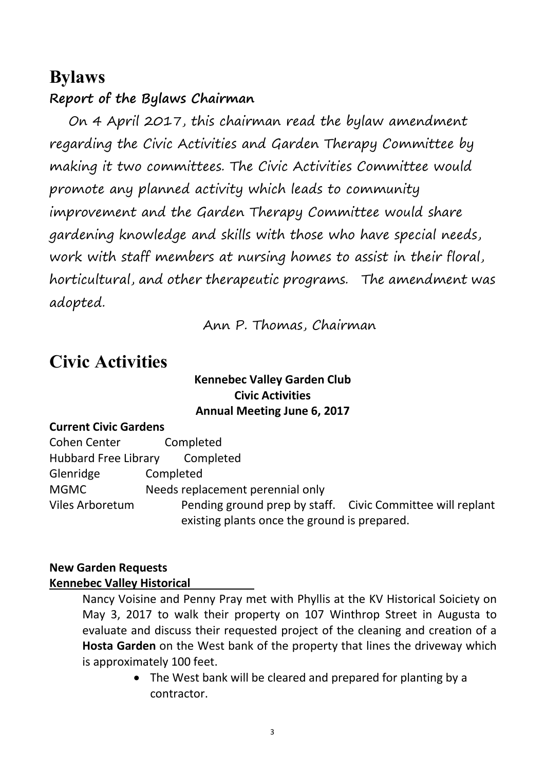#### **Bylaws**

#### **Report of the Bylaws Chairman**

On 4 April 2017, this chairman read the bylaw amendment regarding the Civic Activities and Garden Therapy Committee by making it two committees. The Civic Activities Committee would promote any planned activity which leads to community improvement and the Garden Therapy Committee would share gardening knowledge and skills with those who have special needs, work with staff members at nursing homes to assist in their floral,<br>horticultural, and other therapeutic programs. The amendment was adopted.

Ann P. Thomas, Chairman

# **Civic Activities**

#### **Kennebec Valley Garden Club Civic Activities Annual Meeting June 6, 2017**

#### **Current Civic Gardens**

| Cohen Center                | Completed                                                  |
|-----------------------------|------------------------------------------------------------|
|                             |                                                            |
| <b>Hubbard Free Library</b> | Completed                                                  |
| Glenridge                   | Completed                                                  |
| <b>MGMC</b>                 | Needs replacement perennial only                           |
| Viles Arboretum             | Pending ground prep by staff. Civic Committee will replant |
|                             | existing plants once the ground is prepared.               |

#### **New Garden Requests Kennebec Valley Historical**

Nancy Voisine and Penny Pray met with Phyllis at the KV Historical Soiciety on May 3, 2017 to walk their property on 107 Winthrop Street in Augusta to evaluate and discuss their requested project of the cleaning and creation of a **Hosta Garden** on the West bank of the property that lines the driveway which is approximately 100 feet.

> The West bank will be cleared and prepared for planting by a contractor.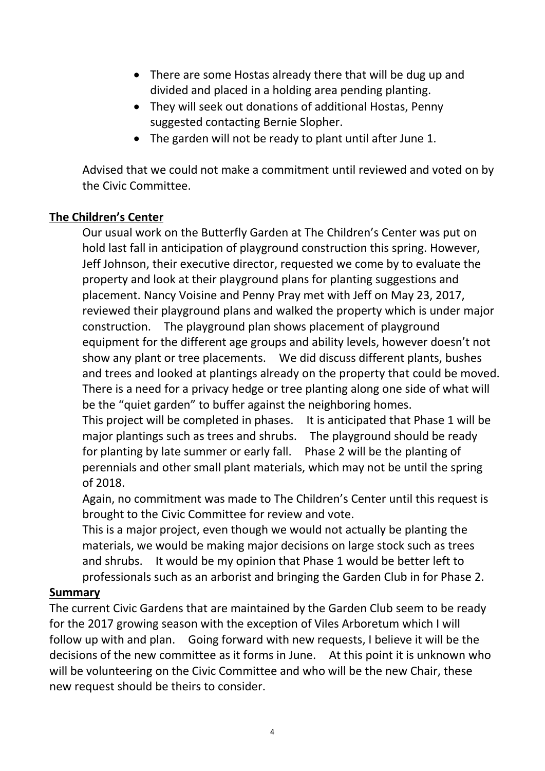- There are some Hostas already there that will be dug up and divided and placed in a holding area pending planting.
- They will seek out donations of additional Hostas, Penny suggested contacting Bernie Slopher.
- The garden will not be ready to plant until after June 1.

Advised that we could not make a commitment until reviewed and voted on by the Civic Committee.

#### **The Children's Center**

Our usual work on the Butterfly Garden at The Children's Center was put on hold last fall in anticipation of playground construction this spring. However, Jeff Johnson, their executive director, requested we come by to evaluate the property and look at their playground plans for planting suggestions and placement. Nancy Voisine and Penny Pray met with Jeff on May 23, 2017, reviewed their playground plans and walked the property which is under major construction. The playground plan shows placement of playground equipment for the different age groups and ability levels, however doesn't not show any plant or tree placements. We did discuss different plants, bushes and trees and looked at plantings already on the property that could be moved. There is a need for a privacy hedge or tree planting along one side of what will be the "quiet garden" to buffer against the neighboring homes.

This project will be completed in phases. It is anticipated that Phase 1 will be major plantings such as trees and shrubs. The playground should be ready for planting by late summer or early fall. Phase 2 will be the planting of perennials and other small plant materials, which may not be until the spring of 2018.

Again, no commitment was made to The Children's Center until this request is brought to the Civic Committee for review and vote.

This is a major project, even though we would not actually be planting the materials, we would be making major decisions on large stock such as trees and shrubs. It would be my opinion that Phase 1 would be better left to professionals such as an arborist and bringing the Garden Club in for Phase 2.

#### **Summary**

The current Civic Gardens that are maintained by the Garden Club seem to be ready for the 2017 growing season with the exception of Viles Arboretum which I will follow up with and plan. Going forward with new requests, I believe it will be the decisions of the new committee as it forms in June. At this point it is unknown who will be volunteering on the Civic Committee and who will be the new Chair, these new request should be theirs to consider.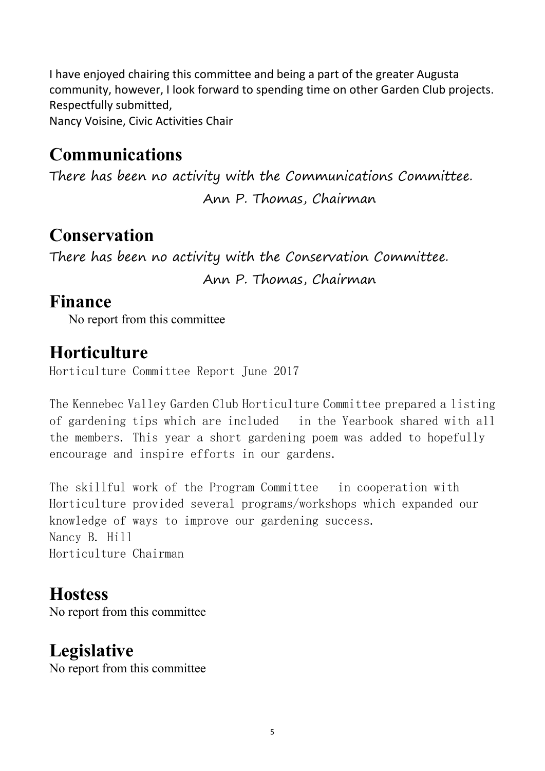I have enjoyed chairing this committee and being a part of the greater Augusta community, however, I look forward to spending time on other Garden Club projects. Respectfully submitted,

Nancy Voisine, Civic Activities Chair

## **Communications**

There has been no activity with the Communications Committee.

Ann P. Thomas, Chairman

# **Conservation**

There has been no activity with the Conservation Committee.

Ann P. Thomas, Chairman

### **Finance**

No report from this committee

## **Horticulture**

Horticulture Committee Report June 2017

The Kennebec Valley Garden Club Horticulture Committee prepared a listing of gardening tips which are included in the Yearbook shared with all the members. This year a short gardening poem was added to hopefully encourage and inspire efforts in our gardens.

The skillful work of the Program Committee in cooperation with Horticulture provided several programs/workshops which expanded our knowledge of ways to improve our gardening success. Nancy B. Hill Horticulture Chairman

# **Hostess**

No report from this committee

# **Legislative**

No report from this committee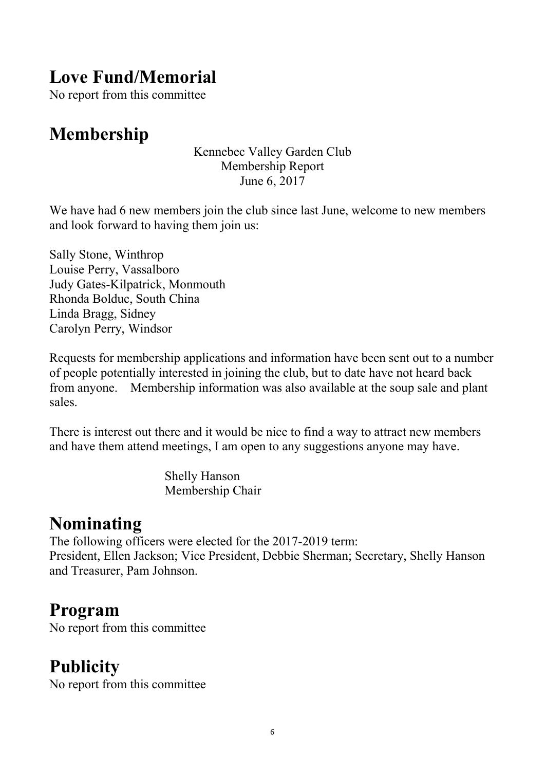# **Love Fund/Memorial**

No report from this committee

# **Membership**

Kennebec Valley Garden Club Membership Report June 6, 2017

We have had 6 new members join the club since last June, welcome to new members and look forward to having them join us:

Sally Stone, Winthrop Louise Perry, Vassalboro Judy Gates-Kilpatrick, Monmouth Rhonda Bolduc, South China Linda Bragg, Sidney Carolyn Perry, Windsor

Requests for membership applications and information have been sent out to a number of people potentially interested in joining the club, but to date have not heard back from anyone. Membership information was also available at the soup sale and plant sales.

There is interest out there and it would be nice to find a way to attract new members and have them attend meetings, I am open to any suggestions anyone may have.

> Shelly Hanson Membership Chair

## **Nominating**

The following officers were elected for the 2017-2019 term: President, Ellen Jackson; Vice President, Debbie Sherman; Secretary, Shelly Hanson and Treasurer, Pam Johnson.

### **Program**

No report from this committee

# **Publicity**

No report from this committee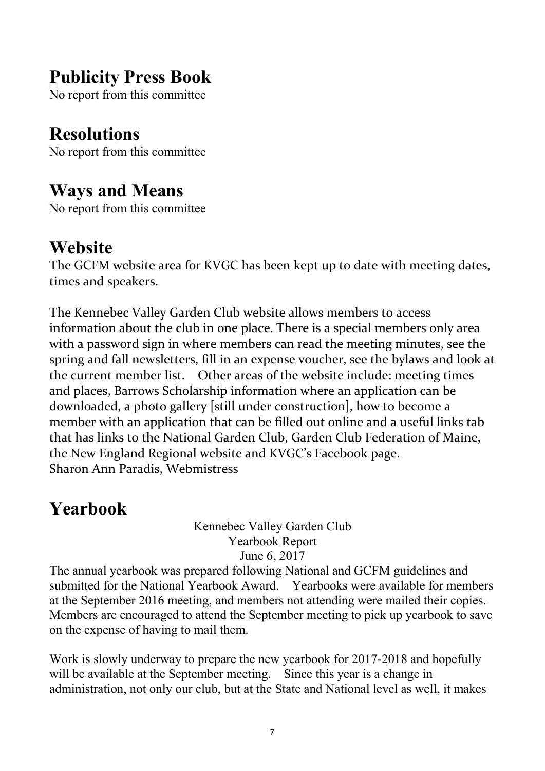# **Publicity Press Book**

No report from this committee

### **Resolutions**

No report from this committee

#### **Ways and Means**

No report from this committee

## **Website**

The GCFM website area for KVGC has been kept up to date with meeting dates, times and speakers.

The Kennebec Valley Garden Club website allows members to access information about the club in one place. There is a special members only area with a password sign in where members can read the meeting minutes, see the spring and fall newsletters, fill in an expense voucher, see the bylaws and look at the current member list. Other areas of the website include: meeting times and places, Barrows Scholarship information where an application can be downloaded, a photo gallery [still under construction], how to become a member with an application that can be filled out online and a useful links tab that has links to the National Garden Club, Garden Club Federation of Maine, the New England Regional website and KVGC's Facebook page. Sharon Ann Paradis, Webmistress

# **Yearbook**

Kennebec Valley Garden Club Yearbook Report June 6, 2017

The annual yearbook was prepared following National and GCFM guidelines and submitted for the National Yearbook Award. Yearbooks were available for members at the September 2016 meeting, and members not attending were mailed their copies. Members are encouraged to attend the September meeting to pick up yearbook to save on the expense of having to mail them.

Work is slowly underway to prepare the new yearbook for 2017-2018 and hopefully will be available at the September meeting. Since this year is a change in administration, not only our club, but at the State and National level as well, it makes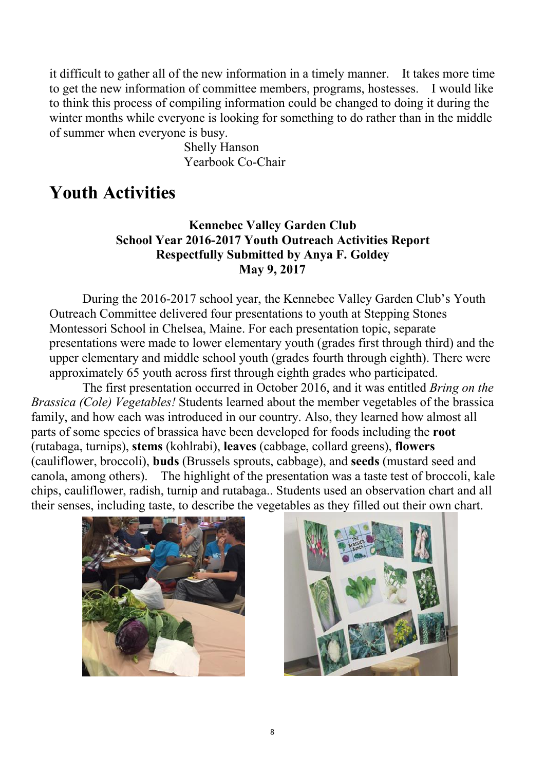it difficult to gather all of the new information in a timely manner. It takes more time to get the new information of committee members, programs, hostesses. I would like to think this process of compiling information could be changed to doing it during the winter months while everyone is looking for something to do rather than in the middle of summer when everyone is busy.

> Shelly Hanson Yearbook Co-Chair

### **Youth Activities**

#### **Kennebec Valley Garden Club School Year 2016-2017 Youth Outreach Activities Report Respectfully Submitted by Anya F. Goldey May 9, 2017**

During the 2016-2017 school year, the Kennebec Valley Garden Club's Youth Outreach Committee delivered four presentations to youth at Stepping Stones Montessori School in Chelsea, Maine. For each presentation topic, separate presentations were made to lower elementary youth (grades first through third) and the upper elementary and middle school youth (grades fourth through eighth). There were approximately 65 youth across first through eighth grades who participated.

The first presentation occurred in October 2016, and it was entitled *Bring on the Brassica (Cole) Vegetables!* Students learned about the member vegetables of the brassica family, and how each was introduced in our country. Also, they learned how almost all parts of some species of brassica have been developed for foods including the **root** (rutabaga, turnips), **stems** (kohlrabi), **leaves** (cabbage, collard greens), **flowers** (cauliflower, broccoli), **buds** (Brussels sprouts, cabbage), and **seeds** (mustard seed and canola, among others). The highlight of the presentation was a taste test of broccoli, kale chips, cauliflower, radish, turnip and rutabaga.. Students used an observation chart and all their senses, including taste, to describe the vegetables as they filled out their own chart.



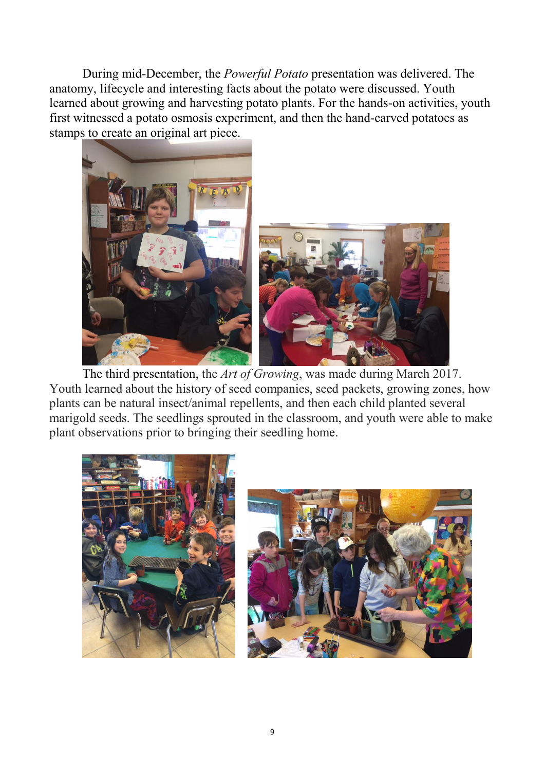During mid-December, the *Powerful Potato* presentation was delivered. The anatomy, lifecycle and interesting facts about the potato were discussed. Youth learned about growing and harvesting potato plants. For the hands-on activities, youth first witnessed a potato osmosis experiment, and then the hand-carved potatoes as stamps to create an original art piece.



The third presentation, the *Art of Growing*, was made during March 2017. Youth learned about the history of seed companies, seed packets, growing zones, how plants can be natural insect/animal repellents, and then each child planted several marigold seeds. The seedlings sprouted in the classroom, and youth were able to make plant observations prior to bringing their seedling home.